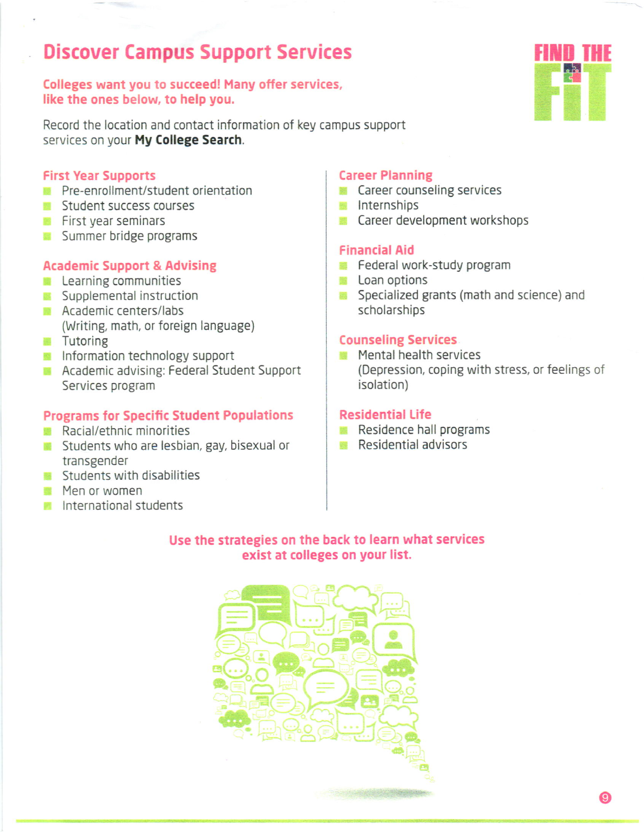# Discover Campus Support Services

## Colleges want you to succeedl Many offer services, like the ones below, to help you.

Record the location and contact information of key campus support services on your My College Search.

#### First Year Supports

- **Pre-enrollment/student orientation**
- **Student success courses**
- **First year seminars**
- **Summer bridge programs**

#### Academic Support & Advising

- **Learning communities**
- **Supplemental instruction**
- **Academic centers/labs** (Writing, math, or foreign language)
- **Tutoring**
- **Information technology support**
- **Academic advising: Federal Student Support** Services program

#### Programs for Specific Student Populations

- **Racial/ethnic minorities**
- Students who are lesbian, gay, bisexual or transgender
- **Students with disabilities**
- **Men or women**
- **laternational students**

#### Career Planning

- **Career counseling services**
- **lnternships**
- Career development workshops 顖

#### Financial Aid

- Federal work-study program
- **Loan options**
- Specialized grants (math and science) and scholarships

#### Counseling Services

**Mental health services** (Depression, coping with stress, or feelings of isolation)

#### Residential Life

- Residence hall programs
- **Residential advisors**

#### Use the strategies on the back to learn what services exist at colleges on your list.